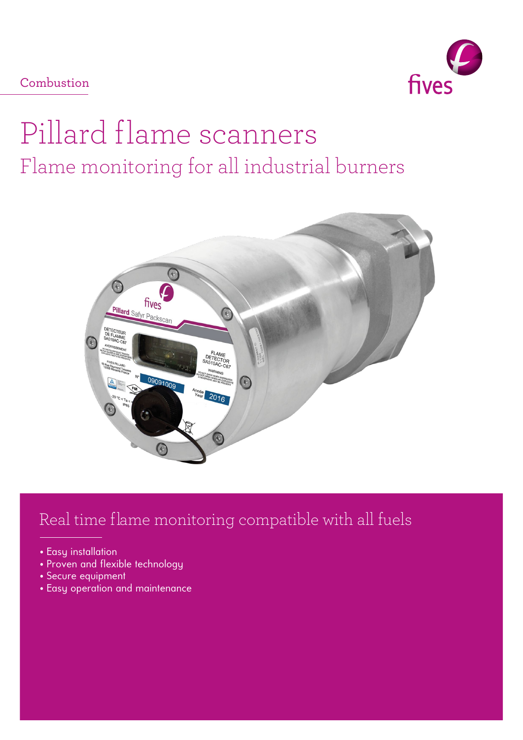Combustion



# Pillard flame scanners Flame monitoring for all industrial burners



# Real time flame monitoring compatible with all fuels

- Easy installation
- Proven and flexible technology
- Secure equipment
- Easy operation and maintenance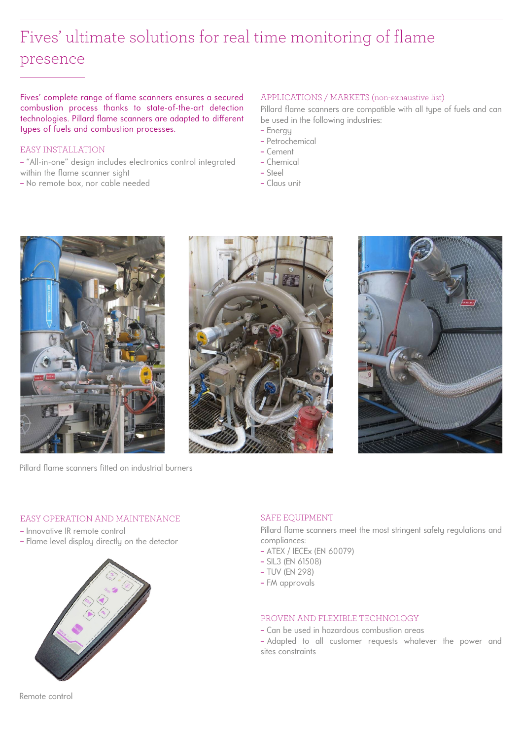# Fives' ultimate solutions for real time monitoring of flame presence

Fives' complete range of flame scanners ensures a secured combustion process thanks to state-of-the-art detection technologies. Pillard flame scanners are adapted to different types of fuels and combustion processes.

### EASY INSTALLATION

- − "All-in-one" design includes electronics control integrated within the flame scanner sight
- − No remote box, nor cable needed

#### APPLICATIONS / MARKETS (non-exhaustive list)

Pillard flame scanners are compatible with all type of fuels and can be used in the following industries:

- − Energy
- − Petrochemical
- − Cement
- − Chemical
- − Steel
- − Claus unit



Pillard flame scanners fitted on industrial burners





### EASY OPERATION AND MAINTENANCE

- − Innovative IR remote control
- − Flame level display directly on the detector



### SAFE EQUIPMENT

Pillard flame scanners meet the most stringent safety regulations and compliances:

- − ATEX / IECEx (EN 60079)
- − SIL3 (EN 61508)
- − TUV (EN 298)
- − FM approvals

#### PROVEN AND FLEXIBLE TECHNOLOGY

- − Can be used in hazardous combustion areas
- − Adapted to all customer requests whatever the power and sites constraints

Remote control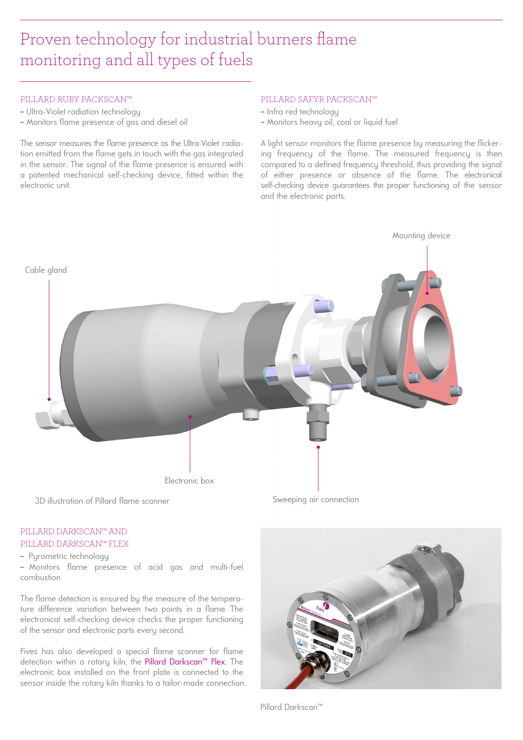# Proven technology for industrial burners flame monitoring and all types of fuels

#### PILLARD RUBY PACKSCAN™

- − Ultra-Violet radiation technology
- − Monitors flame presence of gas and diesel oil

The sensor measures the flame presence as the Ultra-Violet radiation emitted from the flame gets in touch with the gas integrated in the sensor. The signal of the flame presence is ensured with a patented mechanical self-checking device, fitted within the electronic unit.

#### PILLARD SAFYR PACKSCAN™

- − Infra red technology
- − Monitors heavy oil, coal or liquid fuel

A light sensor monitors the flame presence by measuring the flickering frequency of the flame. The measured frequency is then compared to a defined frequency threshold, thus providing the signal of either presence or absence of the flame. The electronical self-checking device guarantees the proper functioning of the sensor and the electronic parts.



## PILLARD DARKSCAN™ AND PILLARD DARKSCAN™ FLEX

− Pyrometric technology

- Monitors flame presence of acid gas and multi-fuel combustion

The flame detection is ensured by the measure of the temperature difference variation between two points in a flame. The electronical self-checking device checks the proper functioning of the sensor and electronic parts every second.

Fives has also developed a special flame scanner for flame detection within a rotary kiln, the Pillard Darkscan™ Flex. The electronic box installed on the front plate is connected to the sensor inside the rotary kiln thanks to a tailor-made connection.



Pillard Darkscan™